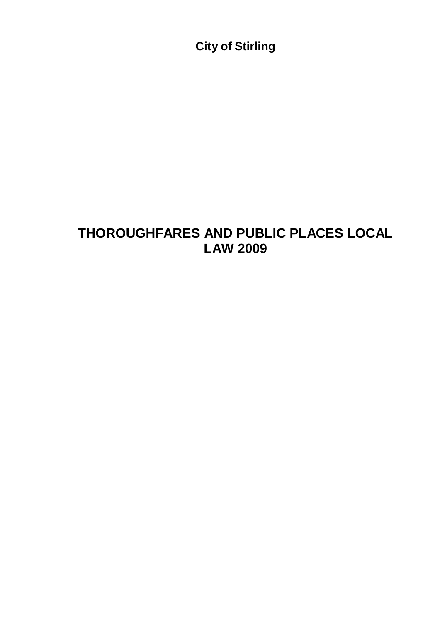# **THOROUGHFARES AND PUBLIC PLACES LOCAL LAW 2009**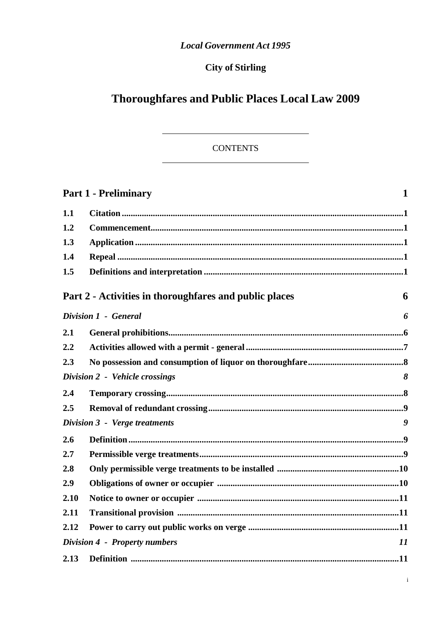### **Local Government Act 1995**

## **City of Stirling**

# **Thoroughfares and Public Places Local Law 2009**

### **CONTENTS**

|      | $\mathbf{1}$<br><b>Part 1 - Preliminary</b>            |    |  |
|------|--------------------------------------------------------|----|--|
| 1.1  |                                                        |    |  |
| 1.2  |                                                        |    |  |
| 1.3  |                                                        |    |  |
| 1.4  |                                                        |    |  |
| 1.5  |                                                        |    |  |
|      | Part 2 - Activities in thoroughfares and public places | 6  |  |
|      | Division 1 - General                                   | 6  |  |
| 2.1  |                                                        |    |  |
| 2.2  |                                                        |    |  |
| 2.3  |                                                        |    |  |
|      | Division 2 - Vehicle crossings                         | 8  |  |
| 2.4  |                                                        |    |  |
| 2.5  |                                                        |    |  |
|      | Division 3 - Verge treatments                          | 9  |  |
| 2.6  |                                                        |    |  |
| 2.7  |                                                        |    |  |
| 2.8  |                                                        |    |  |
| 2.9  |                                                        |    |  |
| 2.10 |                                                        |    |  |
| 2.11 |                                                        |    |  |
| 2.12 |                                                        |    |  |
|      | <b>Division 4 - Property numbers</b>                   | 11 |  |
| 2.13 |                                                        |    |  |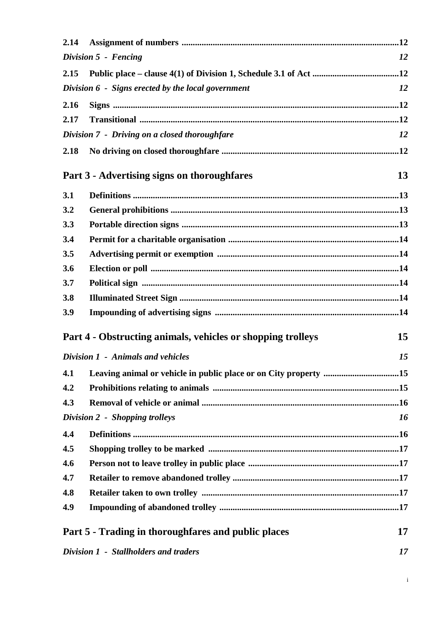| 2.14                       |                                                                  |    |  |  |  |
|----------------------------|------------------------------------------------------------------|----|--|--|--|
| Division 5 - Fencing<br>12 |                                                                  |    |  |  |  |
| 2.15                       |                                                                  |    |  |  |  |
|                            | Division 6 - Signs erected by the local government               | 12 |  |  |  |
| 2.16                       |                                                                  |    |  |  |  |
| 2.17                       |                                                                  |    |  |  |  |
|                            | Division 7 - Driving on a closed thoroughfare                    | 12 |  |  |  |
| 2.18                       |                                                                  |    |  |  |  |
|                            | Part 3 - Advertising signs on thoroughfares                      | 13 |  |  |  |
| 3.1                        |                                                                  |    |  |  |  |
| 3.2                        |                                                                  |    |  |  |  |
| 3.3                        |                                                                  |    |  |  |  |
| 3.4                        |                                                                  |    |  |  |  |
| 3.5                        |                                                                  |    |  |  |  |
| 3.6                        |                                                                  |    |  |  |  |
| 3.7                        |                                                                  |    |  |  |  |
| 3.8                        |                                                                  |    |  |  |  |
| 3.9                        |                                                                  |    |  |  |  |
|                            | Part 4 - Obstructing animals, vehicles or shopping trolleys      | 15 |  |  |  |
|                            | Division 1 - Animals and vehicles                                | 15 |  |  |  |
| 4.1                        | Leaving animal or vehicle in public place or on City property 15 |    |  |  |  |
| 4.2                        |                                                                  |    |  |  |  |
| 4.3                        |                                                                  |    |  |  |  |
|                            | Division 2 - Shopping trolleys                                   | 16 |  |  |  |
| 4.4                        |                                                                  |    |  |  |  |
| 4.5                        |                                                                  |    |  |  |  |
| 4.6                        |                                                                  |    |  |  |  |
| 4.7                        |                                                                  |    |  |  |  |
| 4.8                        |                                                                  |    |  |  |  |
| 4.9                        |                                                                  |    |  |  |  |
|                            | Part 5 - Trading in thoroughfares and public places<br>17        |    |  |  |  |
|                            | Division 1 - Stallholders and traders<br>17                      |    |  |  |  |

i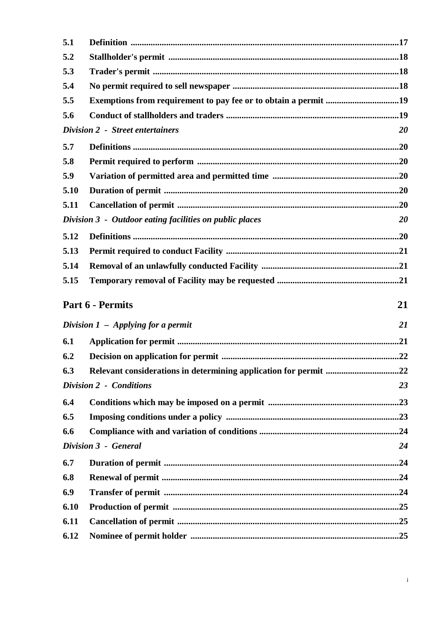| 5.1          |                                                                 |           |
|--------------|-----------------------------------------------------------------|-----------|
| 5.2          |                                                                 |           |
| 5.3          |                                                                 |           |
| 5.4          |                                                                 |           |
| 5.5          | Exemptions from requirement to pay fee or to obtain a permit 19 |           |
| 5.6          |                                                                 |           |
|              | Division 2 - Street entertainers                                | <b>20</b> |
| 5.7          |                                                                 |           |
| 5.8          |                                                                 |           |
| 5.9          |                                                                 |           |
| 5.10         |                                                                 |           |
| 5.11         |                                                                 |           |
|              | Division 3 - Outdoor eating facilities on public places         | 20        |
| 5.12         |                                                                 |           |
| 5.13         |                                                                 |           |
| 5.14         |                                                                 |           |
| 5.15         |                                                                 |           |
|              | Part 6 - Permits                                                | 21        |
|              | Division $1$ – Applying for a permit                            | 21        |
| 6.1          |                                                                 |           |
| 6.2          |                                                                 |           |
| 6.3          |                                                                 |           |
|              |                                                                 |           |
|              |                                                                 |           |
|              | <b>Division 2 - Conditions</b>                                  | 23        |
| 6.4          |                                                                 |           |
| 6.5          |                                                                 |           |
| 6.6          |                                                                 |           |
|              | Division 3 - General                                            | 24        |
| 6.7          |                                                                 |           |
| 6.8          |                                                                 |           |
| 6.9          |                                                                 |           |
| 6.10         |                                                                 |           |
| 6.11<br>6.12 |                                                                 |           |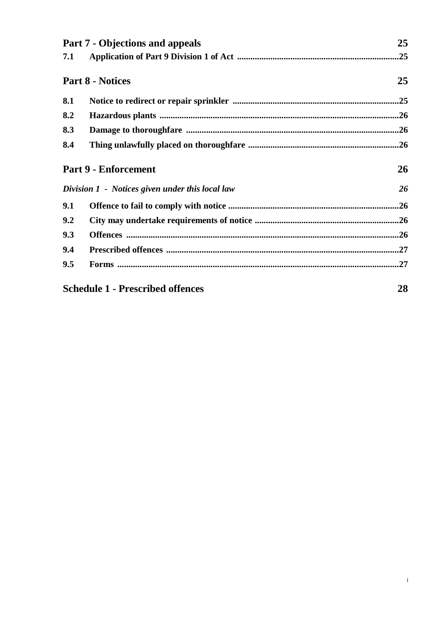|     | <b>Part 7 - Objections and appeals</b>          | 25 |
|-----|-------------------------------------------------|----|
| 7.1 |                                                 |    |
|     | <b>Part 8 - Notices</b>                         | 25 |
| 8.1 |                                                 |    |
| 8.2 |                                                 |    |
| 8.3 |                                                 |    |
| 8.4 |                                                 |    |
|     | <b>Part 9 - Enforcement</b>                     | 26 |
|     | Division 1 - Notices given under this local law | 26 |
| 9.1 |                                                 |    |
| 9.2 |                                                 |    |
| 9.3 |                                                 |    |
| 9.4 |                                                 |    |
| 9.5 |                                                 |    |
|     | <b>Schedule 1 - Prescribed offences</b>         | 28 |

i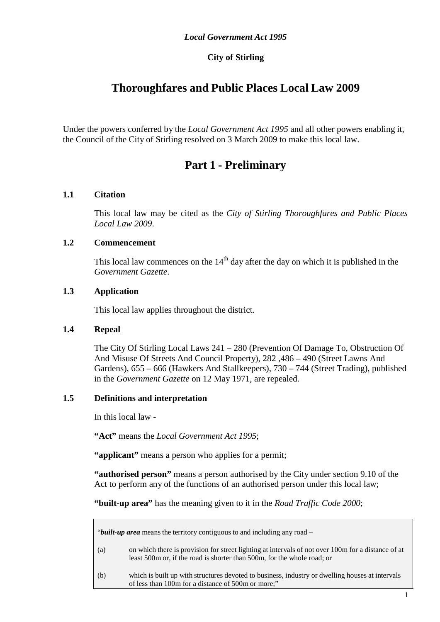### **City of Stirling**

## **Thoroughfares and Public Places Local Law 2009**

Under the powers conferred by the *Local Government Act 1995* and all other powers enabling it, the Council of the City of Stirling resolved on 3 March 2009 to make this local law.

## **Part 1 - Preliminary**

#### <span id="page-5-1"></span><span id="page-5-0"></span>**1.1 Citation**

This local law may be cited as the *City of Stirling Thoroughfares and Public Places Local Law 2009*.

#### <span id="page-5-2"></span>**1.2 Commencement**

This local law commences on the  $14<sup>th</sup>$  day after the day on which it is published in the *Government Gazette*.

#### <span id="page-5-3"></span>**1.3 Application**

This local law applies throughout the district.

#### <span id="page-5-4"></span>**1.4 Repeal**

The City Of Stirling Local Laws 241 – 280 (Prevention Of Damage To, Obstruction Of And Misuse Of Streets And Council Property), 282 ,486 – 490 (Street Lawns And Gardens), 655 – 666 (Hawkers And Stallkeepers), 730 – 744 (Street Trading), published in the *Government Gazette* on 12 May 1971, are repealed.

#### <span id="page-5-5"></span>**1.5 Definitions and interpretation**

In this local law -

**"Act"** means the *Local Government Act 1995*;

"**applicant**" means a person who applies for a permit;

**"authorised person"** means a person authorised by the City under section 9.10 of the Act to perform any of the functions of an authorised person under this local law;

**"built-up area"** has the meaning given to it in the *Road Traffic Code 2000*;

| " <i>built-up area</i> means the territory contiguous to and including any road – |                                                                                                                                                                               |  |  |  |
|-----------------------------------------------------------------------------------|-------------------------------------------------------------------------------------------------------------------------------------------------------------------------------|--|--|--|
| (a)                                                                               | on which there is provision for street lighting at intervals of not over 100m for a distance of at<br>least 500m or, if the road is shorter than 500m, for the whole road; or |  |  |  |
| (b)                                                                               | which is built up with structures devoted to business, industry or dwelling houses at intervals<br>of less than 100m for a distance of 500m or more;"                         |  |  |  |
|                                                                                   |                                                                                                                                                                               |  |  |  |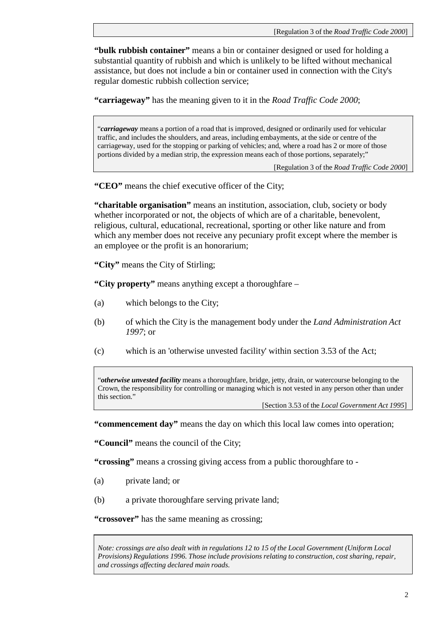**"bulk rubbish container"** means a bin or container designed or used for holding a substantial quantity of rubbish and which is unlikely to be lifted without mechanical assistance, but does not include a bin or container used in connection with the City's regular domestic rubbish collection service;

**"carriageway"** has the meaning given to it in the *Road Traffic Code 2000*;

"*carriageway* means a portion of a road that is improved, designed or ordinarily used for vehicular traffic, and includes the shoulders, and areas, including embayments, at the side or centre of the carriageway, used for the stopping or parking of vehicles; and, where a road has 2 or more of those portions divided by a median strip, the expression means each of those portions, separately;"

[Regulation 3 of the *Road Traffic Code 2000*]

**"CEO"** means the chief executive officer of the City;

**"charitable organisation"** means an institution, association, club, society or body whether incorporated or not, the objects of which are of a charitable, benevolent, religious, cultural, educational, recreational, sporting or other like nature and from which any member does not receive any pecuniary profit except where the member is an employee or the profit is an honorarium;

**"City"** means the City of Stirling;

**"City property"** means anything except a thoroughfare –

- (a) which belongs to the City;
- (b) of which the City is the management body under the *Land Administration Act 1997*; or
- (c) which is an 'otherwise unvested facility' within section 3.53 of the Act;

"*otherwise unvested facility* means a thoroughfare, bridge, jetty, drain, or watercourse belonging to the Crown, the responsibility for controlling or managing which is not vested in any person other than under this section."

[Section 3.53 of the *Local Government Act 1995*]

**"commencement day"** means the day on which this local law comes into operation;

**"Council"** means the council of the City;

**"crossing"** means a crossing giving access from a public thoroughfare to -

- (a) private land; or
- (b) a private thoroughfare serving private land;

**"crossover"** has the same meaning as crossing;

*Note: crossings are also dealt with in regulations 12 to 15 of the Local Government (Uniform Local Provisions) Regulations 1996. Those include provisions relating to construction, cost sharing, repair, and crossings affecting declared main roads.*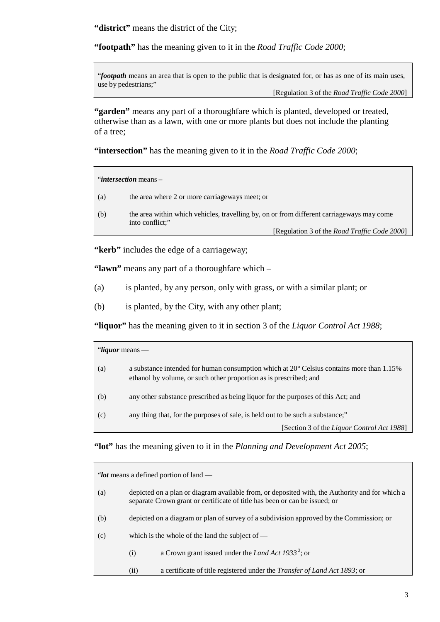**"district"** means the district of the City;

**"footpath"** has the meaning given to it in the *Road Traffic Code 2000*;

"*footpath* means an area that is open to the public that is designated for, or has as one of its main uses, use by pedestrians;"

[Regulation 3 of the *Road Traffic Code 2000*]

**"garden"** means any part of a thoroughfare which is planted, developed or treated, otherwise than as a lawn, with one or more plants but does not include the planting of a tree;

**"intersection"** has the meaning given to it in the *Road Traffic Code 2000*;

| " <i>intersection</i> means $-$ |                                                                                                              |  |
|---------------------------------|--------------------------------------------------------------------------------------------------------------|--|
| (a)                             | the area where 2 or more carriageways meet; or                                                               |  |
| (b)                             | the area within which vehicles, travelling by, on or from different carriageways may come<br>into conflict;" |  |
|                                 | [Regulation 3 of the <i>Road Traffic Code 2000</i> ]                                                         |  |

**"kerb"** includes the edge of a carriageway;

**"lawn"** means any part of a thoroughfare which –

- (a) is planted, by any person, only with grass, or with a similar plant; or
- (b) is planted, by the City, with any other plant;

**"liquor"** has the meaning given to it in section 3 of the *Liquor Control Act 1988*;

| "liquor means — |                                                                                                                                                                        |  |  |
|-----------------|------------------------------------------------------------------------------------------------------------------------------------------------------------------------|--|--|
| (a)             | a substance intended for human consumption which at $20^{\circ}$ Celsius contains more than 1.15%<br>ethanol by volume, or such other proportion as is prescribed; and |  |  |
| (b)             | any other substance prescribed as being liquor for the purposes of this Act; and                                                                                       |  |  |
| (c)             | any thing that, for the purposes of sale, is held out to be such a substance;"                                                                                         |  |  |
|                 | [Section 3 of the Liquor Control Act 1988]                                                                                                                             |  |  |

**"lot"** has the meaning given to it in the *Planning and Development Act 2005*;

| "lot means a defined portion of land — |                                                                                                                                                                              |                                                                                         |  |
|----------------------------------------|------------------------------------------------------------------------------------------------------------------------------------------------------------------------------|-----------------------------------------------------------------------------------------|--|
| (a)                                    | depicted on a plan or diagram available from, or deposited with, the Authority and for which a<br>separate Crown grant or certificate of title has been or can be issued; or |                                                                                         |  |
| (b)                                    |                                                                                                                                                                              | depicted on a diagram or plan of survey of a subdivision approved by the Commission; or |  |
| (c)                                    | which is the whole of the land the subject of $-$                                                                                                                            |                                                                                         |  |
|                                        | (i)                                                                                                                                                                          | a Crown grant issued under the Land Act 1933 <sup>2</sup> ; or                          |  |
|                                        | (i)                                                                                                                                                                          | a certificate of title registered under the <i>Transfer of Land Act 1893</i> ; or       |  |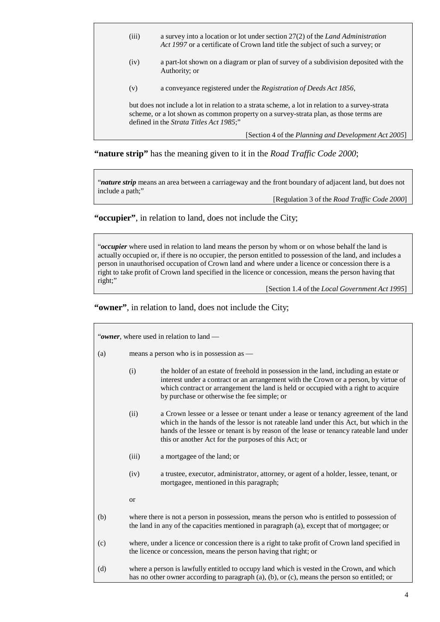- (iii) a survey into a location or lot under section 27(2) of the *Land Administration Act 1997* or a certificate of Crown land title the subject of such a survey; or
- (iv) a part-lot shown on a diagram or plan of survey of a subdivision deposited with the Authority; or
- (v) a conveyance registered under the *Registration of Deeds Act 1856*,

but does not include a lot in relation to a strata scheme, a lot in relation to a survey-strata scheme, or a lot shown as common property on a survey-strata plan, as those terms are defined in the *Strata Titles Act 1985*;"

[Section 4 of the *Planning and Development Act 2005*]

**"nature strip"** has the meaning given to it in the *Road Traffic Code 2000*;

"*nature strip* means an area between a carriageway and the front boundary of adjacent land, but does not include a path;"

[Regulation 3 of the *Road Traffic Code 2000*]

**"occupier"**, in relation to land, does not include the City;

"*occupier* where used in relation to land means the person by whom or on whose behalf the land is actually occupied or, if there is no occupier, the person entitled to possession of the land, and includes a person in unauthorised occupation of Crown land and where under a licence or concession there is a right to take profit of Crown land specified in the licence or concession, means the person having that right;"

[Section 1.4 of the *Local Government Act 1995*]

**"owner"**, in relation to land, does not include the City;

| "owner, where used in relation to land — |                                                                                                                                                                                            |                                                                                                                                                                                                                                                                                                                                 |  |  |
|------------------------------------------|--------------------------------------------------------------------------------------------------------------------------------------------------------------------------------------------|---------------------------------------------------------------------------------------------------------------------------------------------------------------------------------------------------------------------------------------------------------------------------------------------------------------------------------|--|--|
| (a)                                      | means a person who is in possession as —                                                                                                                                                   |                                                                                                                                                                                                                                                                                                                                 |  |  |
|                                          | (i)                                                                                                                                                                                        | the holder of an estate of freehold in possession in the land, including an estate or<br>interest under a contract or an arrangement with the Crown or a person, by virtue of<br>which contract or arrangement the land is held or occupied with a right to acquire<br>by purchase or otherwise the fee simple; or              |  |  |
|                                          | (ii)                                                                                                                                                                                       | a Crown lessee or a lessee or tenant under a lease or tenancy agreement of the land<br>which in the hands of the lessor is not rateable land under this Act, but which in the<br>hands of the lessee or tenant is by reason of the lease or tenancy rateable land under<br>this or another Act for the purposes of this Act; or |  |  |
|                                          | (iii)                                                                                                                                                                                      | a mortgagee of the land; or                                                                                                                                                                                                                                                                                                     |  |  |
|                                          | (iv)                                                                                                                                                                                       | a trustee, executor, administrator, attorney, or agent of a holder, lessee, tenant, or<br>mortgagee, mentioned in this paragraph;                                                                                                                                                                                               |  |  |
|                                          | or                                                                                                                                                                                         |                                                                                                                                                                                                                                                                                                                                 |  |  |
| (b)                                      | where there is not a person in possession, means the person who is entitled to possession of<br>the land in any of the capacities mentioned in paragraph (a), except that of mortgagee; or |                                                                                                                                                                                                                                                                                                                                 |  |  |
| (c)                                      | where, under a licence or concession there is a right to take profit of Crown land specified in<br>the licence or concession, means the person having that right; or                       |                                                                                                                                                                                                                                                                                                                                 |  |  |
| (d)                                      | where a person is lawfully entitled to occupy land which is vested in the Crown, and which<br>has no other owner according to paragraph (a), (b), or (c), means the person so entitled; or |                                                                                                                                                                                                                                                                                                                                 |  |  |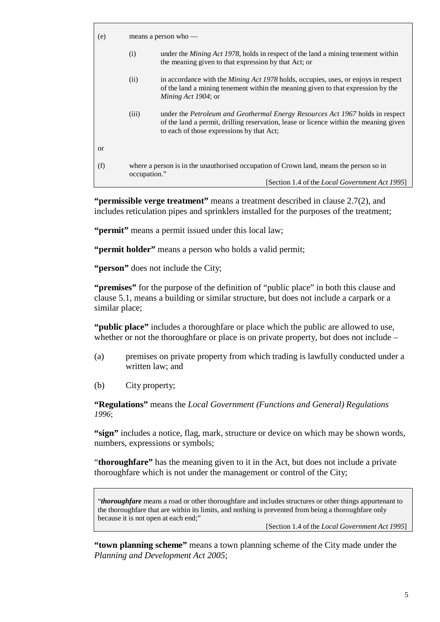| (e)       | means a person who $-$                                                                                 |                                                                                                                                                                                                                     |  |
|-----------|--------------------------------------------------------------------------------------------------------|---------------------------------------------------------------------------------------------------------------------------------------------------------------------------------------------------------------------|--|
|           | (i)                                                                                                    | under the <i>Mining Act 1978</i> , holds in respect of the land a mining tenement within<br>the meaning given to that expression by that Act; or                                                                    |  |
|           | (ii)                                                                                                   | in accordance with the <i>Mining Act 1978</i> holds, occupies, uses, or enjoys in respect<br>of the land a mining tenement within the meaning given to that expression by the<br>Mining Act 1904; or                |  |
|           | (iii)                                                                                                  | under the Petroleum and Geothermal Energy Resources Act 1967 holds in respect<br>of the land a permit, drilling reservation, lease or licence within the meaning given<br>to each of those expressions by that Act; |  |
| <b>or</b> |                                                                                                        |                                                                                                                                                                                                                     |  |
| (f)       | where a person is in the unauthorised occupation of Crown land, means the person so in<br>occupation." |                                                                                                                                                                                                                     |  |
|           |                                                                                                        | [Section 1.4 of the <i>Local Government Act 1995</i> ]                                                                                                                                                              |  |

**"permissible verge treatment"** means a treatment described in clause 2.7(2), and includes reticulation pipes and sprinklers installed for the purposes of the treatment;

**"permit"** means a permit issued under this local law;

**"permit holder"** means a person who holds a valid permit;

"**person**" does not include the City;

**"premises"** for the purpose of the definition of "public place" in both this clause and clause 5.1, means a building or similar structure, but does not include a carpark or a similar place;

**"public place"** includes a thoroughfare or place which the public are allowed to use, whether or not the thoroughfare or place is on private property, but does not include –

- (a) premises on private property from which trading is lawfully conducted under a written law; and
- (b) City property;

**"Regulations"** means the *Local Government (Functions and General) Regulations 1996*;

**"sign"** includes a notice, flag, mark, structure or device on which may be shown words, numbers, expressions or symbols;

"**thoroughfare"** has the meaning given to it in the Act, but does not include a private thoroughfare which is not under the management or control of the City;

"*thoroughfare* means a road or other thoroughfare and includes structures or other things appurtenant to the thoroughfare that are within its limits, and nothing is prevented from being a thoroughfare only because it is not open at each end;"

[Section 1.4 of the *Local Government Act 1995*]

**"town planning scheme"** means a town planning scheme of the City made under the *Planning and Development Act 2005*;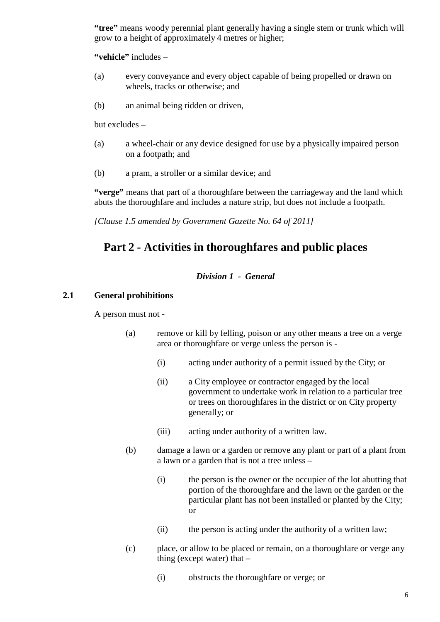**"tree"** means woody perennial plant generally having a single stem or trunk which will grow to a height of approximately 4 metres or higher;

**"vehicle"** includes –

- (a) every conveyance and every object capable of being propelled or drawn on wheels, tracks or otherwise; and
- (b) an animal being ridden or driven,

but excludes –

- (a) a wheel-chair or any device designed for use by a physically impaired person on a footpath; and
- (b) a pram, a stroller or a similar device; and

**"verge"** means that part of a thoroughfare between the carriageway and the land which abuts the thoroughfare and includes a nature strip, but does not include a footpath.

<span id="page-10-0"></span>*[Clause 1.5 amended by Government Gazette No. 64 of 2011]*

## **Part 2 - Activities in thoroughfares and public places**

#### *Division 1 - General*

#### <span id="page-10-2"></span><span id="page-10-1"></span>**2.1 General prohibitions**

A person must not -

- (a) remove or kill by felling, poison or any other means a tree on a verge area or thoroughfare or verge unless the person is -
	- (i) acting under authority of a permit issued by the City; or
	- (ii) a City employee or contractor engaged by the local government to undertake work in relation to a particular tree or trees on thoroughfares in the district or on City property generally; or
	- (iii) acting under authority of a written law.
- (b) damage a lawn or a garden or remove any plant or part of a plant from a lawn or a garden that is not a tree unless –
	- (i) the person is the owner or the occupier of the lot abutting that portion of the thoroughfare and the lawn or the garden or the particular plant has not been installed or planted by the City; or
	- (ii) the person is acting under the authority of a written law;
- (c) place, or allow to be placed or remain, on a thoroughfare or verge any thing (except water) that –
	- (i) obstructs the thoroughfare or verge; or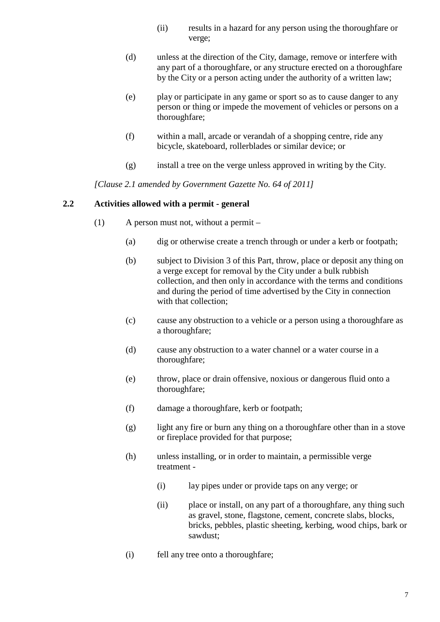- (ii) results in a hazard for any person using the thoroughfare or verge;
- (d) unless at the direction of the City, damage, remove or interfere with any part of a thoroughfare, or any structure erected on a thoroughfare by the City or a person acting under the authority of a written law;
- (e) play or participate in any game or sport so as to cause danger to any person or thing or impede the movement of vehicles or persons on a thoroughfare;
- (f) within a mall, arcade or verandah of a shopping centre, ride any bicycle, skateboard, rollerblades or similar device; or
- (g) install a tree on the verge unless approved in writing by the City.

*[Clause 2.1 amended by Government Gazette No. 64 of 2011]*

#### <span id="page-11-0"></span>**2.2 Activities allowed with a permit - general**

- (1) A person must not, without a permit
	- (a) dig or otherwise create a trench through or under a kerb or footpath;
	- (b) subject to Division 3 of this Part, throw, place or deposit any thing on a verge except for removal by the City under a bulk rubbish collection, and then only in accordance with the terms and conditions and during the period of time advertised by the City in connection with that collection;
	- (c) cause any obstruction to a vehicle or a person using a thoroughfare as a thoroughfare;
	- (d) cause any obstruction to a water channel or a water course in a thoroughfare;
	- (e) throw, place or drain offensive, noxious or dangerous fluid onto a thoroughfare;
	- (f) damage a thoroughfare, kerb or footpath;
	- (g) light any fire or burn any thing on a thoroughfare other than in a stove or fireplace provided for that purpose;
	- (h) unless installing, or in order to maintain, a permissible verge treatment -
		- (i) lay pipes under or provide taps on any verge; or
		- (ii) place or install, on any part of a thoroughfare, any thing such as gravel, stone, flagstone, cement, concrete slabs, blocks, bricks, pebbles, plastic sheeting, kerbing, wood chips, bark or sawdust;
	- (i) fell any tree onto a thoroughfare;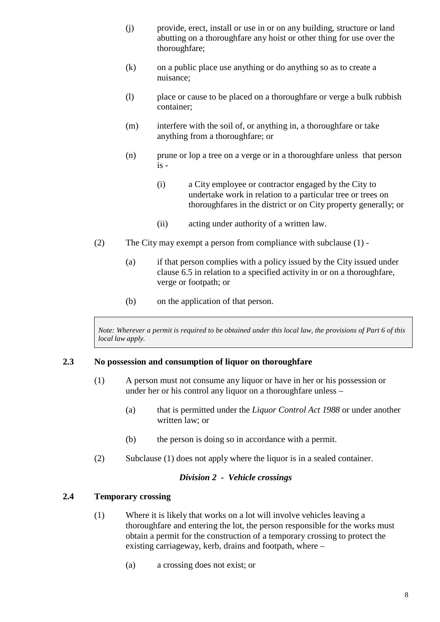- (j) provide, erect, install or use in or on any building, structure or land abutting on a thoroughfare any hoist or other thing for use over the thoroughfare;
- (k) on a public place use anything or do anything so as to create a nuisance;
- (l) place or cause to be placed on a thoroughfare or verge a bulk rubbish container;
- (m) interfere with the soil of, or anything in, a thoroughfare or take anything from a thoroughfare; or
- (n) prune or lop a tree on a verge or in a thoroughfare unless that person  $is -$ 
	- (i) a City employee or contractor engaged by the City to undertake work in relation to a particular tree or trees on thoroughfares in the district or on City property generally; or
	- (ii) acting under authority of a written law.
- (2) The City may exempt a person from compliance with subclause (1)
	- (a) if that person complies with a policy issued by the City issued under clause [6.5 i](#page-27-2)n relation to a specified activity in or on a thoroughfare, verge or footpath; or
	- (b) on the application of that person.

Note: Wherever a permit is required to be obtained under this local law, the provisions of Part 6 of this *local law apply.*

#### <span id="page-12-0"></span>**2.3 No possession and consumption of liquor on thoroughfare**

- (1) A person must not consume any liquor or have in her or his possession or under her or his control any liquor on a thoroughfare unless –
	- (a) that is permitted under the *Liquor Control Act 1988* or under another written law; or
	- (b) the person is doing so in accordance with a permit.
- (2) Subclause (1) does not apply where the liquor is in a sealed container.

#### *Division 2 - Vehicle crossings*

#### <span id="page-12-2"></span><span id="page-12-1"></span>**2.4 Temporary crossing**

- (1) Where it is likely that works on a lot will involve vehicles leaving a thoroughfare and entering the lot, the person responsible for the works must obtain a permit for the construction of a temporary crossing to protect the existing carriageway, kerb, drains and footpath, where –
	- (a) a crossing does not exist; or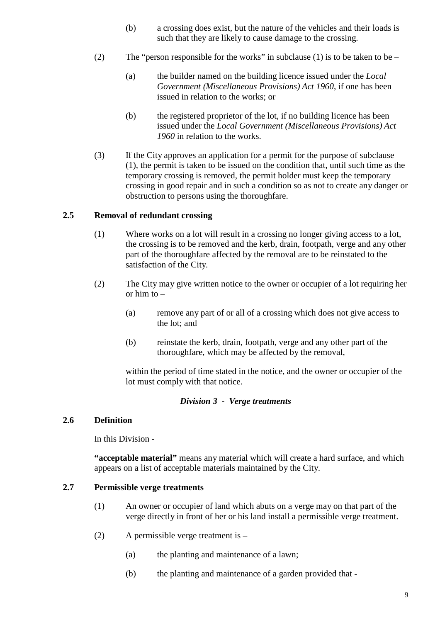- (b) a crossing does exist, but the nature of the vehicles and their loads is such that they are likely to cause damage to the crossing.
- (2) The "person responsible for the works" in subclause (1) is to be taken to be
	- (a) the builder named on the building licence issued under the *Local Government (Miscellaneous Provisions) Act 1960*, if one has been issued in relation to the works; or
	- (b) the registered proprietor of the lot, if no building licence has been issued under the *Local Government (Miscellaneous Provisions) Act 1960* in relation to the works.
- (3) If the City approves an application for a permit for the purpose of subclause (1), the permit is taken to be issued on the condition that, until such time as the temporary crossing is removed, the permit holder must keep the temporary crossing in good repair and in such a condition so as not to create any danger or obstruction to persons using the thoroughfare.

#### <span id="page-13-0"></span>**2.5 Removal of redundant crossing**

- (1) Where works on a lot will result in a crossing no longer giving access to a lot, the crossing is to be removed and the kerb, drain, footpath, verge and any other part of the thoroughfare affected by the removal are to be reinstated to the satisfaction of the City.
- (2) The City may give written notice to the owner or occupier of a lot requiring her or him to –
	- (a) remove any part of or all of a crossing which does not give access to the lot; and
	- (b) reinstate the kerb, drain, footpath, verge and any other part of the thoroughfare, which may be affected by the removal,

within the period of time stated in the notice, and the owner or occupier of the lot must comply with that notice.

#### *Division 3 - Verge treatments*

#### <span id="page-13-2"></span><span id="page-13-1"></span>**2.6 Definition**

In this Division -

**"acceptable material"** means any material which will create a hard surface, and which appears on a list of acceptable materials maintained by the City.

#### <span id="page-13-3"></span>**2.7 Permissible verge treatments**

- (1) An owner or occupier of land which abuts on a verge may on that part of the verge directly in front of her or his land install a permissible verge treatment.
- (2) A permissible verge treatment is
	- (a) the planting and maintenance of a lawn;
	- (b) the planting and maintenance of a garden provided that -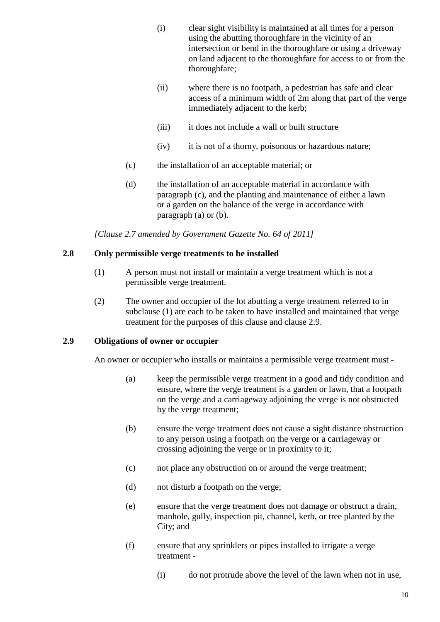- (i) clear sight visibility is maintained at all times for a person using the abutting thoroughfare in the vicinity of an intersection or bend in the thoroughfare or using a driveway on land adjacent to the thoroughfare for access to or from the thoroughfare;
- (ii) where there is no footpath, a pedestrian has safe and clear access of a minimum width of 2m along that part of the verge immediately adjacent to the kerb;
- (iii) it does not include a wall or built structure
- (iv) it is not of a thorny, poisonous or hazardous nature;
- (c) the installation of an acceptable material; or
- (d) the installation of an acceptable material in accordance with paragraph (c), and the planting and maintenance of either a lawn or a garden on the balance of the verge in accordance with paragraph (a) or (b).

*[Clause 2.7 amended by Government Gazette No. 64 of 2011]*

#### <span id="page-14-0"></span>**2.8 Only permissible verge treatments to be installed**

- (1) A person must not install or maintain a verge treatment which is not a permissible verge treatment.
- (2) The owner and occupier of the lot abutting a verge treatment referred to in subclause (1) are each to be taken to have installed and maintained that verge treatment for the purposes of this clause and clause 2.9.

#### <span id="page-14-1"></span>**2.9 Obligations of owner or occupier**

An owner or occupier who installs or maintains a permissible verge treatment must -

- (a) keep the permissible verge treatment in a good and tidy condition and ensure, where the verge treatment is a garden or lawn, that a footpath on the verge and a carriageway adjoining the verge is not obstructed by the verge treatment;
- (b) ensure the verge treatment does not cause a sight distance obstruction to any person using a footpath on the verge or a carriageway or crossing adjoining the verge or in proximity to it;
- (c) not place any obstruction on or around the verge treatment;
- (d) not disturb a footpath on the verge;
- (e) ensure that the verge treatment does not damage or obstruct a drain, manhole, gully, inspection pit, channel, kerb, or tree planted by the City; and
- (f) ensure that any sprinklers or pipes installed to irrigate a verge treatment -
	- (i) do not protrude above the level of the lawn when not in use,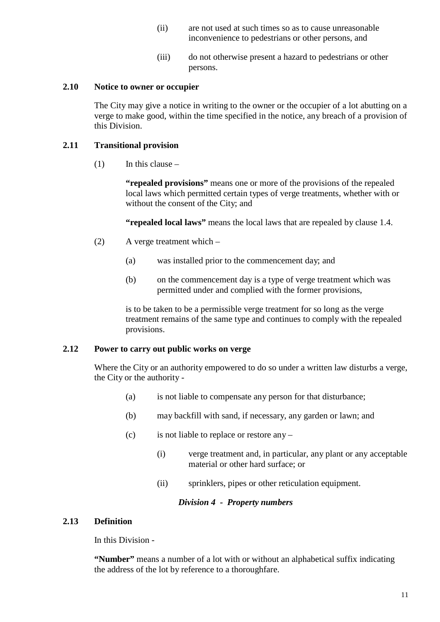- (ii) are not used at such times so as to cause unreasonable inconvenience to pedestrians or other persons, and
- (iii) do not otherwise present a hazard to pedestrians or other persons.

#### <span id="page-15-0"></span>**2.10 Notice to owner or occupier**

The City may give a notice in writing to the owner or the occupier of a lot abutting on a verge to make good, within the time specified in the notice, any breach of a provision of this Division.

#### <span id="page-15-1"></span>**2.11 Transitional provision**

 $(1)$  In this clause –

**"repealed provisions"** means one or more of the provisions of the repealed local laws which permitted certain types of verge treatments, whether with or without the consent of the City; and

**"repealed local laws"** means the local laws that are repealed by clause [1.4.](#page-5-4)

- (2) A verge treatment which
	- (a) was installed prior to the commencement day; and
	- (b) on the commencement day is a type of verge treatment which was permitted under and complied with the former provisions,

is to be taken to be a permissible verge treatment for so long as the verge treatment remains of the same type and continues to comply with the repealed provisions.

#### <span id="page-15-2"></span>**2.12 Power to carry out public works on verge**

Where the City or an authority empowered to do so under a written law disturbs a verge, the City or the authority -

- (a) is not liable to compensate any person for that disturbance;
- (b) may backfill with sand, if necessary, any garden or lawn; and
- (c) is not liable to replace or restore any  $-$ 
	- (i) verge treatment and, in particular, any plant or any acceptable material or other hard surface; or
	- (ii) sprinklers, pipes or other reticulation equipment.

#### *Division 4 - Property numbers*

#### <span id="page-15-4"></span><span id="page-15-3"></span>**2.13 Definition**

In this Division -

**"Number"** means a number of a lot with or without an alphabetical suffix indicating the address of the lot by reference to a thoroughfare.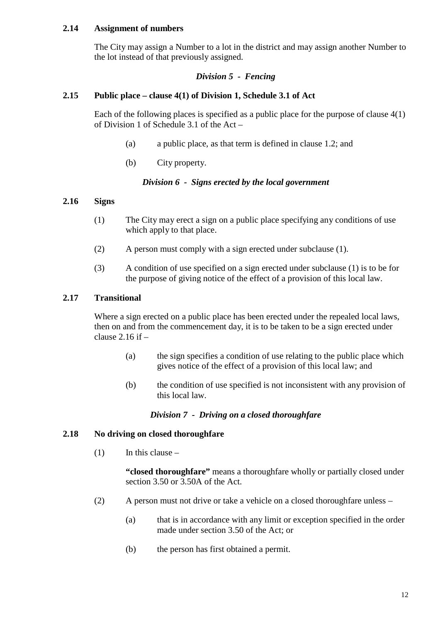#### <span id="page-16-0"></span>**2.14 Assignment of numbers**

The City may assign a Number to a lot in the district and may assign another Number to the lot instead of that previously assigned.

#### *Division 5 - Fencing*

#### <span id="page-16-2"></span><span id="page-16-1"></span>**2.15 Public place – clause 4(1) of Division 1, Schedule 3.1 of Act**

Each of the following places is specified as a public place for the purpose of clause 4(1) of Division 1 of Schedule 3.1 of the Act –

- (a) a public place, as that term is defined in clause 1.2; and
- (b) City property.

#### *Division 6 - Signs erected by the local government*

#### <span id="page-16-4"></span><span id="page-16-3"></span>**2.16 Signs**

- (1) The City may erect a sign on a public place specifying any conditions of use which apply to that place.
- (2) A person must comply with a sign erected under subclause (1).
- (3) A condition of use specified on a sign erected under subclause (1) is to be for the purpose of giving notice of the effect of a provision of this local law.

#### <span id="page-16-5"></span>**2.17 Transitional**

Where a sign erected on a public place has been erected under the repealed local laws, then on and from the commencement day, it is to be taken to be a sign erected under clause  $2.16$  if  $-$ 

- (a) the sign specifies a condition of use relating to the public place which gives notice of the effect of a provision of this local law; and
- (b) the condition of use specified is not inconsistent with any provision of this local law.

#### *Division 7 - Driving on a closed thoroughfare*

#### <span id="page-16-7"></span><span id="page-16-6"></span>**2.18 No driving on closed thoroughfare**

 $(1)$  In this clause –

**"closed thoroughfare"** means a thoroughfare wholly or partially closed under section 3.50 or 3.50A of the Act.

- (2) A person must not drive or take a vehicle on a closed thoroughfare unless
	- (a) that is in accordance with any limit or exception specified in the order made under section 3.50 of the Act; or
	- (b) the person has first obtained a permit.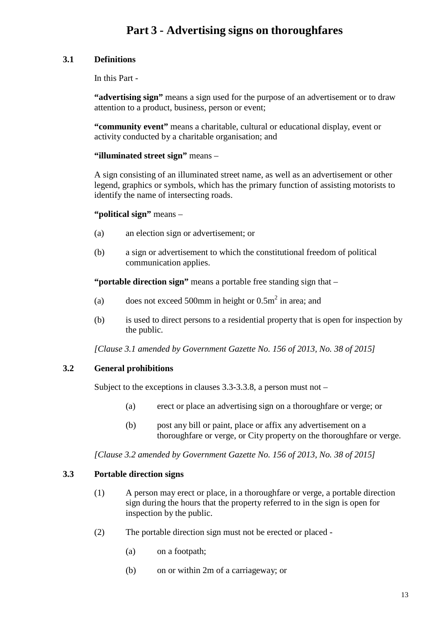## **Part 3 - Advertising signs on thoroughfares**

### <span id="page-17-1"></span><span id="page-17-0"></span>**3.1 Definitions**

In this Part -

**"advertising sign"** means a sign used for the purpose of an advertisement or to draw attention to a product, business, person or event;

**"community event"** means a charitable, cultural or educational display, event or activity conducted by a charitable organisation; and

#### **"illuminated street sign"** means –

A sign consisting of an illuminated street name, as well as an advertisement or other legend, graphics or symbols, which has the primary function of assisting motorists to identify the name of intersecting roads.

**"political sign"** means –

- (a) an election sign or advertisement; or
- (b) a sign or advertisement to which the constitutional freedom of political communication applies.

**"portable direction sign"** means a portable free standing sign that –

- (a) does not exceed 500mm in height or  $0.5m<sup>2</sup>$  in area; and
- (b) is used to direct persons to a residential property that is open for inspection by the public.

*[Clause 3.1 amended by Government Gazette No. 156 of 2013, No. 38 of 2015]*

### <span id="page-17-2"></span>**3.2 General prohibitions**

Subject to the exceptions in claus[es 3.3](#page-17-3)[-3.3.8,](#page-18-3) a person must not –

- (a) erect or place an advertising sign on a thoroughfare or verge; or
- (b) post any bill or paint, place or affix any advertisement on a thoroughfare or verge, or City property on the thoroughfare or verge.

*[Clause 3.2 amended by Government Gazette No. 156 of 2013, No. 38 of 2015]*

#### <span id="page-17-3"></span>**3.3 Portable direction signs**

- (1) A person may erect or place, in a thoroughfare or verge, a portable direction sign during the hours that the property referred to in the sign is open for inspection by the public.
- (2) The portable direction sign must not be erected or placed
	- (a) on a footpath;
	- (b) on or within 2m of a carriageway; or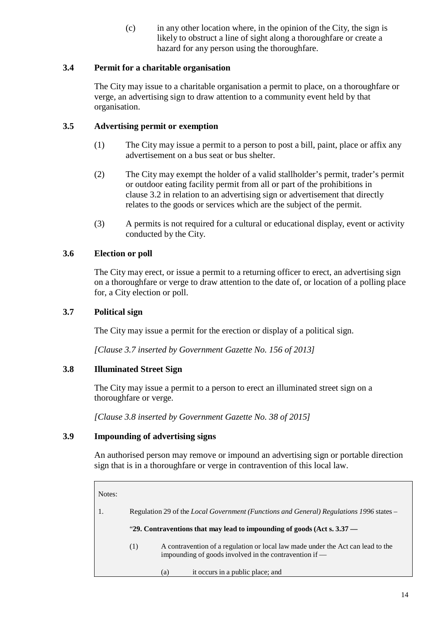(c) in any other location where, in the opinion of the City, the sign is likely to obstruct a line of sight along a thoroughfare or create a hazard for any person using the thoroughfare.

### <span id="page-18-0"></span>**3.4 Permit for a charitable organisation**

The City may issue to a charitable organisation a permit to place, on a thoroughfare or verge, an advertising sign to draw attention to a community event held by that organisation.

#### <span id="page-18-1"></span>**3.5 Advertising permit or exemption**

- (1) The City may issue a permit to a person to post a bill, paint, place or affix any advertisement on a bus seat or bus shelter.
- (2) The City may exempt the holder of a valid stallholder's permit, trader's permit or outdoor eating facility permit from all or part of the prohibitions in clause 3.2 in relation to an advertising sign or advertisement that directly relates to the goods or services which are the subject of the permit.
- (3) A permits is not required for a cultural or educational display, event or activity conducted by the City.

### <span id="page-18-2"></span>**3.6 Election or poll**

The City may erect, or issue a permit to a returning officer to erect, an advertising sign on a thoroughfare or verge to draw attention to the date of, or location of a polling place for, a City election or poll.

#### <span id="page-18-3"></span>**3.7 Political sign**

The City may issue a permit for the erection or display of a political sign.

*[Clause 3.7 inserted by Government Gazette No. 156 of 2013]*

#### <span id="page-18-4"></span>**3.8 Illuminated Street Sign**

The City may issue a permit to a person to erect an illuminated street sign on a thoroughfare or verge.

*[Clause 3.8 inserted by Government Gazette No. 38 of 2015]*

#### <span id="page-18-5"></span>**3.9 Impounding of advertising signs**

An authorised person may remove or impound an advertising sign or portable direction sign that is in a thoroughfare or verge in contravention of this local law.

| Notes: |                                                                                                |                                                                                                                                           |  |
|--------|------------------------------------------------------------------------------------------------|-------------------------------------------------------------------------------------------------------------------------------------------|--|
|        | Regulation 29 of the <i>Local Government (Functions and General) Regulations 1996</i> states – |                                                                                                                                           |  |
|        | "29. Contraventions that may lead to impounding of goods (Act s. $3.37$ —                      |                                                                                                                                           |  |
|        | (1)                                                                                            | A contravention of a regulation or local law made under the Act can lead to the<br>impounding of goods involved in the contravention if — |  |
|        |                                                                                                | it occurs in a public place; and<br>(a)                                                                                                   |  |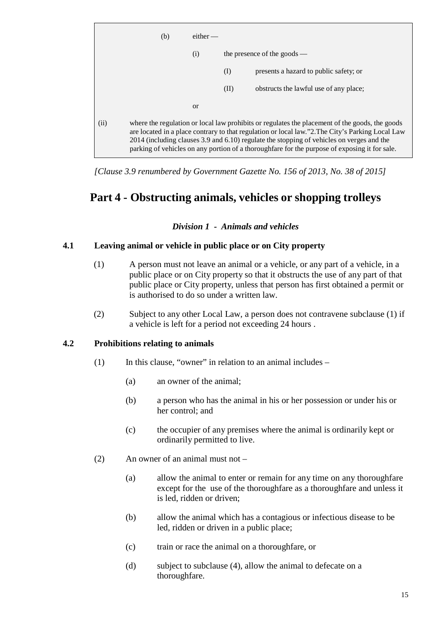

*[Clause 3.9 renumbered by Government Gazette No. 156 of 2013, No. 38 of 2015]*

## <span id="page-19-0"></span>**Part 4 - Obstructing animals, vehicles or shopping trolleys**

*Division 1 - Animals and vehicles*

#### <span id="page-19-2"></span><span id="page-19-1"></span>**4.1 Leaving animal or vehicle in public place or on City property**

- (1) A person must not leave an animal or a vehicle, or any part of a vehicle, in a public place or on City property so that it obstructs the use of any part of that public place or City property, unless that person has first obtained a permit or is authorised to do so under a written law.
- (2) Subject to any other Local Law, a person does not contravene subclause (1) if a vehicle is left for a period not exceeding 24 hours .

#### <span id="page-19-3"></span>**4.2 Prohibitions relating to animals**

- $(1)$  In this clause, "owner" in relation to an animal includes
	- (a) an owner of the animal;
	- (b) a person who has the animal in his or her possession or under his or her control; and
	- (c) the occupier of any premises where the animal is ordinarily kept or ordinarily permitted to live.
- (2) An owner of an animal must not
	- (a) allow the animal to enter or remain for any time on any thoroughfare except for the use of the thoroughfare as a thoroughfare and unless it is led, ridden or driven;
	- (b) allow the animal which has a contagious or infectious disease to be led, ridden or driven in a public place;
	- (c) train or race the animal on a thoroughfare, or
	- (d) subject to subclause (4), allow the animal to defecate on a thoroughfare.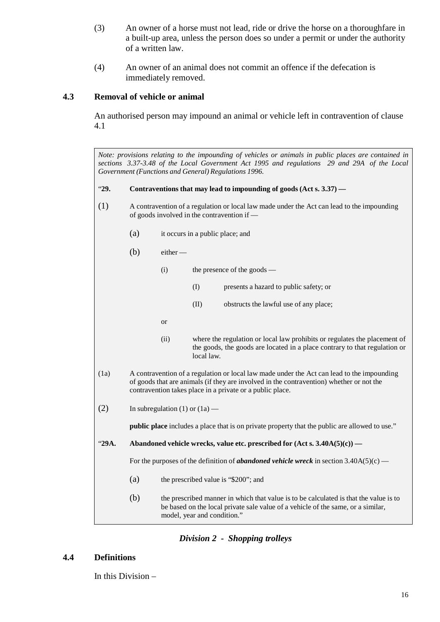- (3) An owner of a horse must not lead, ride or drive the horse on a thoroughfare in a built-up area, unless the person does so under a permit or under the authority of a written law.
- (4) An owner of an animal does not commit an offence if the defecation is immediately removed.

#### <span id="page-20-0"></span>**4.3 Removal of vehicle or animal**

An authorised person may impound an animal or vehicle left in contravention of clause 4.1

*Note: provisions relating to the impounding of vehicles or animals in public places are contained in sections 3.37-3.48 of the Local Government Act 1995 and regulations 29 and 29A of the Local Government (Functions and General) Regulations 1996.*

"**29. Contraventions that may lead to impounding of goods (Act s. 3.37) —**

- (1) A contravention of a regulation or local law made under the Act can lead to the impounding of goods involved in the contravention if —
	- (a) it occurs in a public place; and
	- $(b)$  either
		- (i) the presence of the goods
			- (I) presents a hazard to public safety; or
			- (II) obstructs the lawful use of any place;
		- or
			- (ii) where the regulation or local law prohibits or regulates the placement of the goods, the goods are located in a place contrary to that regulation or local law.
- (1a) A contravention of a regulation or local law made under the Act can lead to the impounding of goods that are animals (if they are involved in the contravention) whether or not the contravention takes place in a private or a public place.
- (2) In subregulation (1) or  $(1a)$  —

**public place** includes a place that is on private property that the public are allowed to use."

"**29A. Abandoned vehicle wrecks, value etc. prescribed for (Act s. 3.40A(5)(c)) —**

For the purposes of the definition of *abandoned vehicle wreck* in section 3.40A(5)(c) —

- (a) the prescribed value is "\$200"; and
- (b) the prescribed manner in which that value is to be calculated is that the value is to be based on the local private sale value of a vehicle of the same, or a similar, model, year and condition."

#### *Division 2 - Shopping trolleys*

#### <span id="page-20-2"></span><span id="page-20-1"></span>**4.4 Definitions**

In this Division –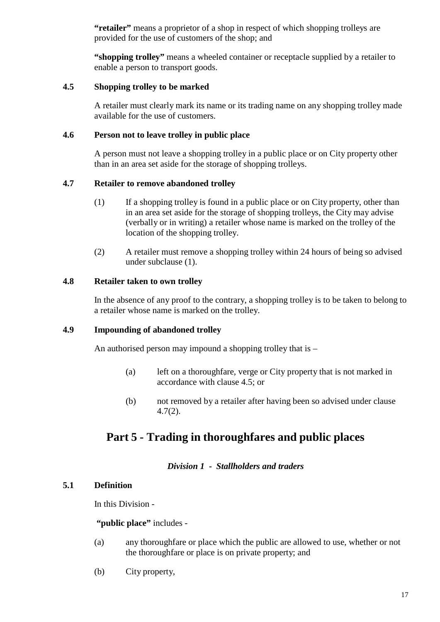"retailer" means a proprietor of a shop in respect of which shopping trolleys are provided for the use of customers of the shop; and

**"shopping trolley"** means a wheeled container or receptacle supplied by a retailer to enable a person to transport goods.

#### <span id="page-21-0"></span>**4.5 Shopping trolley to be marked**

A retailer must clearly mark its name or its trading name on any shopping trolley made available for the use of customers.

#### <span id="page-21-1"></span>**4.6 Person not to leave trolley in public place**

A person must not leave a shopping trolley in a public place or on City property other than in an area set aside for the storage of shopping trolleys.

#### <span id="page-21-2"></span>**4.7 Retailer to remove abandoned trolley**

- (1) If a shopping trolley is found in a public place or on City property, other than in an area set aside for the storage of shopping trolleys, the City may advise (verbally or in writing) a retailer whose name is marked on the trolley of the location of the shopping trolley.
- (2) A retailer must remove a shopping trolley within 24 hours of being so advised under subclause (1).

#### <span id="page-21-3"></span>**4.8 Retailer taken to own trolley**

In the absence of any proof to the contrary, a shopping trolley is to be taken to belong to a retailer whose name is marked on the trolley.

#### <span id="page-21-4"></span>**4.9 Impounding of abandoned trolley**

An authorised person may impound a shopping trolley that is –

- (a) left on a thoroughfare, verge or City property that is not marked in accordance with clause 4.5; or
- (b) not removed by a retailer after having been so advised under clause 4.7(2).

## <span id="page-21-5"></span>**Part 5 - Trading in thoroughfares and public places**

#### *Division 1 - Stallholders and traders*

#### <span id="page-21-7"></span><span id="page-21-6"></span>**5.1 Definition**

In this Division -

#### **"public place"** includes -

- (a) any thoroughfare or place which the public are allowed to use, whether or not the thoroughfare or place is on private property; and
- (b) City property,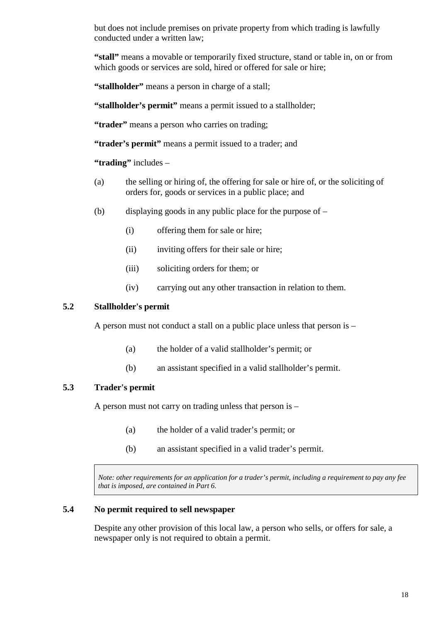but does not include premises on private property from which trading is lawfully conducted under a written law;

**"stall"** means a movable or temporarily fixed structure, stand or table in, on or from which goods or services are sold, hired or offered for sale or hire;

**"stallholder"** means a person in charge of a stall;

**"stallholder's permit"** means a permit issued to a stallholder;

"**trader**" means a person who carries on trading;

"**trader's permit**" means a permit issued to a trader; and

**"trading"** includes –

- (a) the selling or hiring of, the offering for sale or hire of, or the soliciting of orders for, goods or services in a public place; and
- (b) displaying goods in any public place for the purpose of
	- (i) offering them for sale or hire;
	- (ii) inviting offers for their sale or hire;
	- (iii) soliciting orders for them; or
	- (iv) carrying out any other transaction in relation to them.

#### <span id="page-22-0"></span>**5.2 Stallholder's permit**

A person must not conduct a stall on a public place unless that person is –

- (a) the holder of a valid stallholder's permit; or
- (b) an assistant specified in a valid stallholder's permit.

#### <span id="page-22-1"></span>**5.3 Trader's permit**

A person must not carry on trading unless that person is –

- (a) the holder of a valid trader's permit; or
- (b) an assistant specified in a valid trader's permit.

*Note: other requirements for an application for a trader's permit, including a requirement to pay any fee that is imposed, are contained in Part 6.*

#### <span id="page-22-2"></span>**5.4 No permit required to sell newspaper**

Despite any other provision of this local law, a person who sells, or offers for sale, a newspaper only is not required to obtain a permit.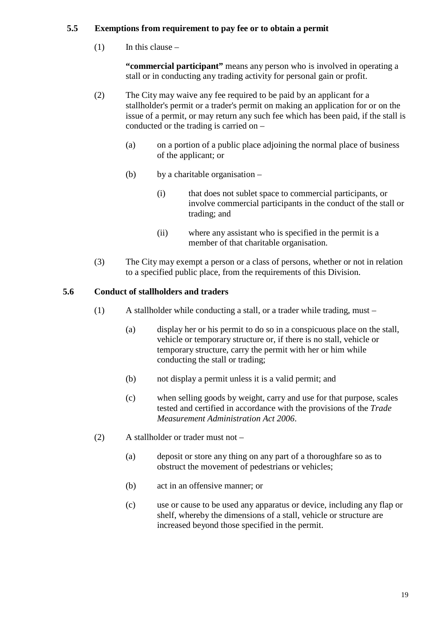### <span id="page-23-0"></span>**5.5 Exemptions from requirement to pay fee or to obtain a permit**

 $(1)$  In this clause –

**"commercial participant"** means any person who is involved in operating a stall or in conducting any trading activity for personal gain or profit.

- (2) The City may waive any fee required to be paid by an applicant for a stallholder's permit or a trader's permit on making an application for or on the issue of a permit, or may return any such fee which has been paid, if the stall is conducted or the trading is carried on –
	- (a) on a portion of a public place adjoining the normal place of business of the applicant; or
	- (b) by a charitable organisation
		- (i) that does not sublet space to commercial participants, or involve commercial participants in the conduct of the stall or trading; and
		- (ii) where any assistant who is specified in the permit is a member of that charitable organisation.
- (3) The City may exempt a person or a class of persons, whether or not in relation to a specified public place, from the requirements of this Division.

### <span id="page-23-1"></span>**5.6 Conduct of stallholders and traders**

- (1) A stallholder while conducting a stall, or a trader while trading, must
	- (a) display her or his permit to do so in a conspicuous place on the stall, vehicle or temporary structure or, if there is no stall, vehicle or temporary structure, carry the permit with her or him while conducting the stall or trading;
	- (b) not display a permit unless it is a valid permit; and
	- (c) when selling goods by weight, carry and use for that purpose, scales tested and certified in accordance with the provisions of the *Trade Measurement Administration Act 2006*.
- (2) A stallholder or trader must not
	- (a) deposit or store any thing on any part of a thoroughfare so as to obstruct the movement of pedestrians or vehicles;
	- (b) act in an offensive manner; or
	- (c) use or cause to be used any apparatus or device, including any flap or shelf, whereby the dimensions of a stall, vehicle or structure are increased beyond those specified in the permit.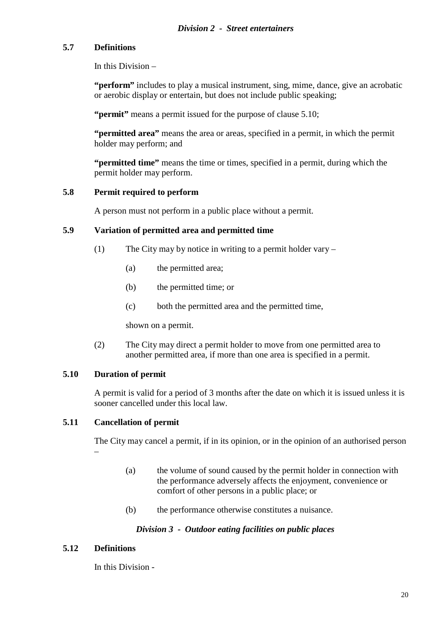#### <span id="page-24-1"></span><span id="page-24-0"></span>**5.7 Definitions**

In this Division –

**"perform"** includes to play a musical instrument, sing, mime, dance, give an acrobatic or aerobic display or entertain, but does not include public speaking;

**"permit"** means a permit issued for the purpose of clause 5.10;

**"permitted area"** means the area or areas, specified in a permit, in which the permit holder may perform; and

**"permitted time"** means the time or times, specified in a permit, during which the permit holder may perform.

#### <span id="page-24-2"></span>**5.8 Permit required to perform**

A person must not perform in a public place without a permit.

#### <span id="page-24-3"></span>**5.9 Variation of permitted area and permitted time**

- (1) The City may by notice in writing to a permit holder vary
	- (a) the permitted area;
	- (b) the permitted time; or
	- (c) both the permitted area and the permitted time,

shown on a permit.

(2) The City may direct a permit holder to move from one permitted area to another permitted area, if more than one area is specified in a permit.

#### <span id="page-24-4"></span>**5.10 Duration of permit**

A permit is valid for a period of 3 months after the date on which it is issued unless it is sooner cancelled under this local law.

#### <span id="page-24-5"></span>**5.11 Cancellation of permit**

The City may cancel a permit, if in its opinion, or in the opinion of an authorised person –

- (a) the volume of sound caused by the permit holder in connection with the performance adversely affects the enjoyment, convenience or comfort of other persons in a public place; or
- (b) the performance otherwise constitutes a nuisance.

#### *Division 3 - Outdoor eating facilities on public places*

#### <span id="page-24-7"></span><span id="page-24-6"></span>**5.12 Definitions**

In this Division -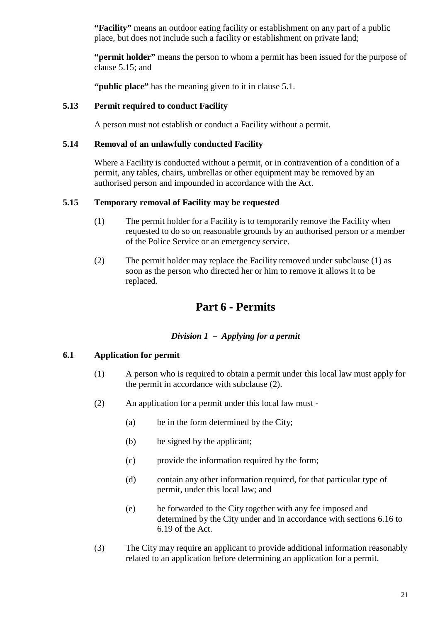**"Facility"** means an outdoor eating facility or establishment on any part of a public place, but does not include such a facility or establishment on private land;

**"permit holder"** means the person to whom a permit has been issued for the purpose of clause 5.15; and

**"public place"** has the meaning given to it in clause 5.1.

#### <span id="page-25-0"></span>**5.13 Permit required to conduct Facility**

A person must not establish or conduct a Facility without a permit.

#### <span id="page-25-1"></span>**5.14 Removal of an unlawfully conducted Facility**

Where a Facility is conducted without a permit, or in contravention of a condition of a permit, any tables, chairs, umbrellas or other equipment may be removed by an authorised person and impounded in accordance with the Act.

#### <span id="page-25-2"></span>**5.15 Temporary removal of Facility may be requested**

- (1) The permit holder for a Facility is to temporarily remove the Facility when requested to do so on reasonable grounds by an authorised person or a member of the Police Service or an emergency service.
- (2) The permit holder may replace the Facility removed under subclause (1) as soon as the person who directed her or him to remove it allows it to be replaced.

## **Part 6 - Permits**

#### *Division 1 – Applying for a permit*

#### <span id="page-25-5"></span><span id="page-25-4"></span><span id="page-25-3"></span>**6.1 Application for permit**

- (1) A person who is required to obtain a permit under this local law must apply for the permit in accordance with subclause (2).
- (2) An application for a permit under this local law must
	- (a) be in the form determined by the City;
	- (b) be signed by the applicant;
	- (c) provide the information required by the form;
	- (d) contain any other information required, for that particular type of permit, under this local law; and
	- (e) be forwarded to the City together with any fee imposed and determined by the City under and in accordance with sections 6.16 to 6.19 of the Act.
- (3) The City may require an applicant to provide additional information reasonably related to an application before determining an application for a permit.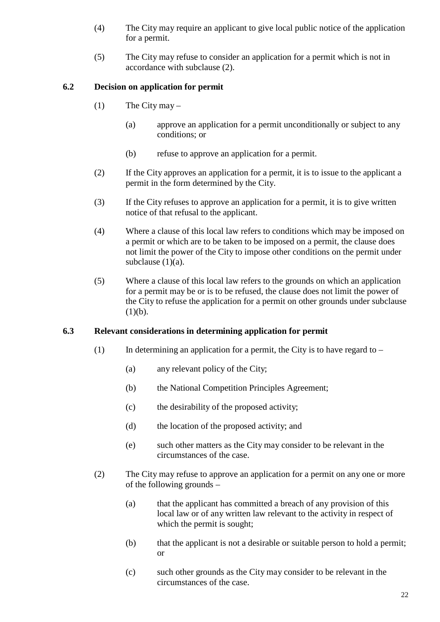- (4) The City may require an applicant to give local public notice of the application for a permit.
- (5) The City may refuse to consider an application for a permit which is not in accordance with subclause (2).

### <span id="page-26-0"></span>**6.2 Decision on application for permit**

- (1) The City may  $-$ 
	- (a) approve an application for a permit unconditionally or subject to any conditions; or
	- (b) refuse to approve an application for a permit.
- (2) If the City approves an application for a permit, it is to issue to the applicant a permit in the form determined by the City.
- (3) If the City refuses to approve an application for a permit, it is to give written notice of that refusal to the applicant.
- (4) Where a clause of this local law refers to conditions which may be imposed on a permit or which are to be taken to be imposed on a permit, the clause does not limit the power of the City to impose other conditions on the permit under subclause  $(1)(a)$ .
- (5) Where a clause of this local law refers to the grounds on which an application for a permit may be or is to be refused, the clause does not limit the power of the City to refuse the application for a permit on other grounds under subclause  $(1)(b).$

#### <span id="page-26-1"></span>**6.3 Relevant considerations in determining application for permit**

- (1) In determining an application for a permit, the City is to have regard to  $-$ 
	- (a) any relevant policy of the City;
	- (b) the National Competition Principles Agreement;
	- (c) the desirability of the proposed activity;
	- (d) the location of the proposed activity; and
	- (e) such other matters as the City may consider to be relevant in the circumstances of the case.
- (2) The City may refuse to approve an application for a permit on any one or more of the following grounds –
	- (a) that the applicant has committed a breach of any provision of this local law or of any written law relevant to the activity in respect of which the permit is sought;
	- (b) that the applicant is not a desirable or suitable person to hold a permit; or
	- (c) such other grounds as the City may consider to be relevant in the circumstances of the case.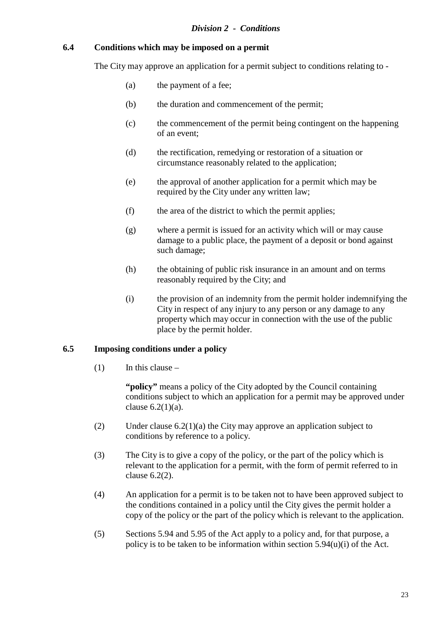#### <span id="page-27-1"></span><span id="page-27-0"></span>**6.4 Conditions which may be imposed on a permit**

The City may approve an application for a permit subject to conditions relating to -

- (a) the payment of a fee;
- (b) the duration and commencement of the permit;
- (c) the commencement of the permit being contingent on the happening of an event;
- (d) the rectification, remedying or restoration of a situation or circumstance reasonably related to the application;
- (e) the approval of another application for a permit which may be required by the City under any written law;
- (f) the area of the district to which the permit applies;
- (g) where a permit is issued for an activity which will or may cause damage to a public place, the payment of a deposit or bond against such damage;
- (h) the obtaining of public risk insurance in an amount and on terms reasonably required by the City; and
- (i) the provision of an indemnity from the permit holder indemnifying the City in respect of any injury to any person or any damage to any property which may occur in connection with the use of the public place by the permit holder.

#### <span id="page-27-2"></span>**6.5 Imposing conditions under a policy**

 $(1)$  In this clause –

**"policy"** means a policy of the City adopted by the Council containing conditions subject to which an application for a permit may be approved under clause  $6.2(1)(a)$ .

- (2) Under clause 6.2(1)(a) the City may approve an application subject to conditions by reference to a policy.
- (3) The City is to give a copy of the policy, or the part of the policy which is relevant to the application for a permit, with the form of permit referred to in clause 6.2(2).
- (4) An application for a permit is to be taken not to have been approved subject to the conditions contained in a policy until the City gives the permit holder a copy of the policy or the part of the policy which is relevant to the application.
- (5) Sections 5.94 and 5.95 of the Act apply to a policy and, for that purpose, a policy is to be taken to be information within section 5.94(u)(i) of the Act.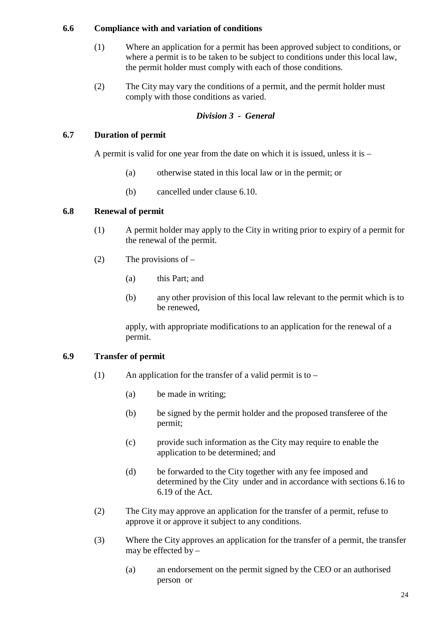#### <span id="page-28-0"></span>**6.6 Compliance with and variation of conditions**

- (1) Where an application for a permit has been approved subject to conditions, or where a permit is to be taken to be subject to conditions under this local law, the permit holder must comply with each of those conditions.
- (2) The City may vary the conditions of a permit, and the permit holder must comply with those conditions as varied.

#### *Division 3 - General*

#### <span id="page-28-2"></span><span id="page-28-1"></span>**6.7 Duration of permit**

A permit is valid for one year from the date on which it is issued, unless it is  $-$ 

- (a) otherwise stated in this local law or in the permit; or
- (b) cancelled under clause 6.10.

#### <span id="page-28-3"></span>**6.8 Renewal of permit**

- (1) A permit holder may apply to the City in writing prior to expiry of a permit for the renewal of the permit.
- (2) The provisions of  $-$ 
	- (a) this Part; and
	- (b) any other provision of this local law relevant to the permit which is to be renewed,

apply, with appropriate modifications to an application for the renewal of a permit.

#### <span id="page-28-4"></span>**6.9 Transfer of permit**

- (1) An application for the transfer of a valid permit is to  $-$ 
	- (a) be made in writing;
	- (b) be signed by the permit holder and the proposed transferee of the permit;
	- (c) provide such information as the City may require to enable the application to be determined; and
	- (d) be forwarded to the City together with any fee imposed and determined by the City under and in accordance with sections 6.16 to 6.19 of the Act.
- (2) The City may approve an application for the transfer of a permit, refuse to approve it or approve it subject to any conditions.
- (3) Where the City approves an application for the transfer of a permit, the transfer may be effected by –
	- (a) an endorsement on the permit signed by the CEO or an authorised person or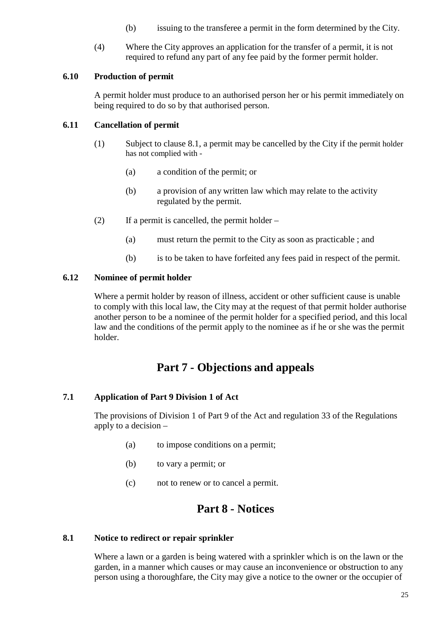- (b) issuing to the transferee a permit in the form determined by the City.
- (4) Where the City approves an application for the transfer of a permit, it is not required to refund any part of any fee paid by the former permit holder.

#### <span id="page-29-0"></span>**6.10 Production of permit**

A permit holder must produce to an authorised person her or his permit immediately on being required to do so by that authorised person.

#### <span id="page-29-1"></span>**6.11 Cancellation of permit**

- (1) Subject to clause 8.1, a permit may be cancelled by the City if the permit holder has not complied with -
	- (a) a condition of the permit; or
	- (b) a provision of any written law which may relate to the activity regulated by the permit.
- (2) If a permit is cancelled, the permit holder
	- (a) must return the permit to the City as soon as practicable ; and
	- (b) is to be taken to have forfeited any fees paid in respect of the permit.

#### <span id="page-29-2"></span>**6.12 Nominee of permit holder**

Where a permit holder by reason of illness, accident or other sufficient cause is unable to comply with this local law, the City may at the request of that permit holder authorise another person to be a nominee of the permit holder for a specified period, and this local law and the conditions of the permit apply to the nominee as if he or she was the permit holder.

## **Part 7 - Objections and appeals**

#### <span id="page-29-4"></span><span id="page-29-3"></span>**7.1 Application of Part 9 Division 1 of Act**

The provisions of Division 1 of Part 9 of the Act and regulation 33 of the Regulations apply to a decision –

- (a) to impose conditions on a permit;
- (b) to vary a permit; or
- (c) not to renew or to cancel a permit.

## **Part 8 - Notices**

#### <span id="page-29-6"></span><span id="page-29-5"></span>**8.1 Notice to redirect or repair sprinkler**

Where a lawn or a garden is being watered with a sprinkler which is on the lawn or the garden, in a manner which causes or may cause an inconvenience or obstruction to any person using a thoroughfare, the City may give a notice to the owner or the occupier of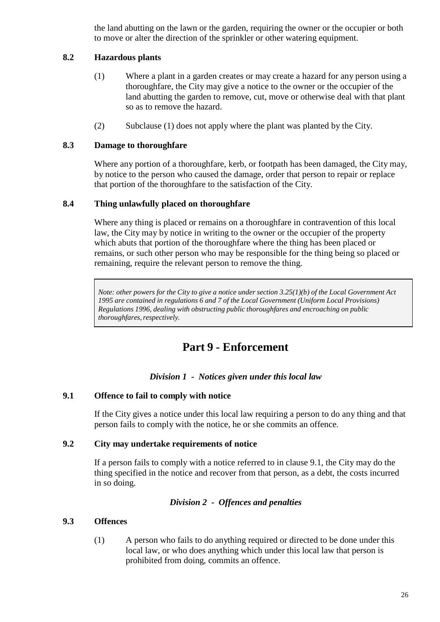the land abutting on the lawn or the garden, requiring the owner or the occupier or both to move or alter the direction of the sprinkler or other watering equipment.

#### <span id="page-30-0"></span>**8.2 Hazardous plants**

- (1) Where a plant in a garden creates or may create a hazard for any person using a thoroughfare, the City may give a notice to the owner or the occupier of the land abutting the garden to remove, cut, move or otherwise deal with that plant so as to remove the hazard.
- (2) Subclause (1) does not apply where the plant was planted by the City.

#### <span id="page-30-1"></span>**8.3 Damage to thoroughfare**

Where any portion of a thoroughfare, kerb, or footpath has been damaged, the City may, by notice to the person who caused the damage, order that person to repair or replace that portion of the thoroughfare to the satisfaction of the City.

#### <span id="page-30-2"></span>**8.4 Thing unlawfully placed on thoroughfare**

Where any thing is placed or remains on a thoroughfare in contravention of this local law, the City may by notice in writing to the owner or the occupier of the property which abuts that portion of the thoroughfare where the thing has been placed or remains, or such other person who may be responsible for the thing being so placed or remaining, require the relevant person to remove the thing.

Note: other powers for the City to give a notice under section  $3.25(1)(b)$  of the Local Government Act *1995 are contained in regulations 6 and 7 of the Local Government (Uniform Local Provisions) Regulations 1996, dealing with obstructing public thoroughfares and encroaching on public thoroughfares, respectively.* 

## **Part 9 - Enforcement**

#### *Division 1 - Notices given under this local law*

#### <span id="page-30-5"></span><span id="page-30-4"></span><span id="page-30-3"></span>**9.1 Offence to fail to comply with notice**

If the City gives a notice under this local law requiring a person to do any thing and that person fails to comply with the notice, he or she commits an offence.

#### <span id="page-30-6"></span>**9.2 City may undertake requirements of notice**

If a person fails to comply with a notice referred to in clause 9.1, the City may do the thing specified in the notice and recover from that person, as a debt, the costs incurred in so doing.

#### *Division 2 - Offences and penalties*

#### <span id="page-30-7"></span>**9.3 Offences**

(1) A person who fails to do anything required or directed to be done under this local law, or who does anything which under this local law that person is prohibited from doing, commits an offence.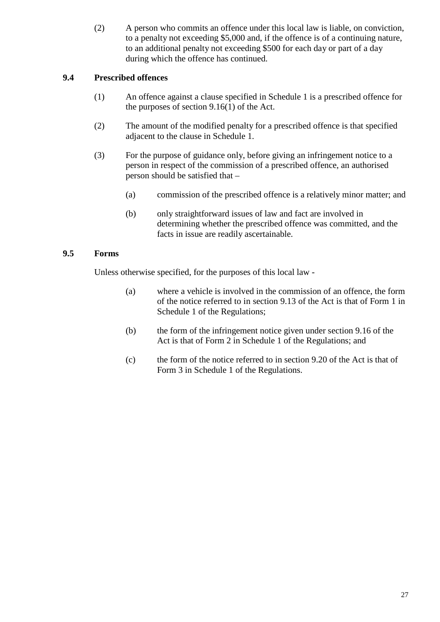(2) A person who commits an offence under this local law is liable, on conviction, to a penalty not exceeding \$5,000 and, if the offence is of a continuing nature, to an additional penalty not exceeding \$500 for each day or part of a day during which the offence has continued.

### <span id="page-31-0"></span>**9.4 Prescribed offences**

- (1) An offence against a clause specified in Schedule 1 is a prescribed offence for the purposes of section 9.16(1) of the Act.
- (2) The amount of the modified penalty for a prescribed offence is that specified adjacent to the clause in Schedule 1.
- (3) For the purpose of guidance only, before giving an infringement notice to a person in respect of the commission of a prescribed offence, an authorised person should be satisfied that –
	- (a) commission of the prescribed offence is a relatively minor matter; and
	- (b) only straightforward issues of law and fact are involved in determining whether the prescribed offence was committed, and the facts in issue are readily ascertainable.

### <span id="page-31-1"></span>**9.5 Forms**

Unless otherwise specified, for the purposes of this local law -

- (a) where a vehicle is involved in the commission of an offence, the form of the notice referred to in section 9.13 of the Act is that of Form 1 in Schedule 1 of the Regulations;
- (b) the form of the infringement notice given under section 9.16 of the Act is that of Form 2 in Schedule 1 of the Regulations; and
- (c) the form of the notice referred to in section 9.20 of the Act is that of Form 3 in Schedule 1 of the Regulations.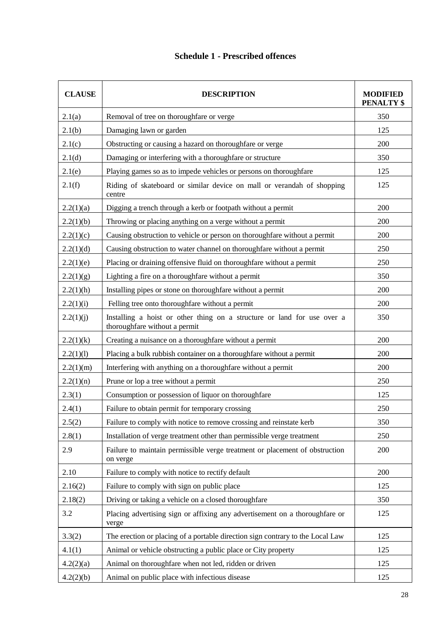### **Schedule 1 - Prescribed offences**

<span id="page-32-0"></span>

| <b>CLAUSE</b> | <b>DESCRIPTION</b>                                                                                       | <b>MODIFIED</b><br><b>PENALTY \$</b> |
|---------------|----------------------------------------------------------------------------------------------------------|--------------------------------------|
| 2.1(a)        | Removal of tree on thoroughfare or verge                                                                 | 350                                  |
| 2.1(b)        | Damaging lawn or garden                                                                                  | 125                                  |
| 2.1(c)        | Obstructing or causing a hazard on thoroughfare or verge                                                 | 200                                  |
| 2.1(d)        | Damaging or interfering with a thoroughfare or structure                                                 | 350                                  |
| 2.1(e)        | Playing games so as to impede vehicles or persons on thoroughfare                                        | 125                                  |
| 2.1(f)        | Riding of skateboard or similar device on mall or verandah of shopping<br>centre                         | 125                                  |
| 2.2(1)(a)     | Digging a trench through a kerb or footpath without a permit                                             | 200                                  |
| 2.2(1)(b)     | Throwing or placing anything on a verge without a permit                                                 | 200                                  |
| 2.2(1)(c)     | Causing obstruction to vehicle or person on thoroughfare without a permit                                | 200                                  |
| 2.2(1)(d)     | Causing obstruction to water channel on thoroughfare without a permit                                    | 250                                  |
| 2.2(1)(e)     | Placing or draining offensive fluid on thoroughfare without a permit                                     | 250                                  |
| 2.2(1)(g)     | Lighting a fire on a thoroughfare without a permit                                                       | 350                                  |
| 2.2(1)(h)     | Installing pipes or stone on thoroughfare without a permit                                               | 200                                  |
| 2.2(1)(i)     | Felling tree onto thoroughfare without a permit                                                          | 200                                  |
| 2.2(1)(j)     | Installing a hoist or other thing on a structure or land for use over a<br>thoroughfare without a permit | 350                                  |
| 2.2(1)(k)     | Creating a nuisance on a thoroughfare without a permit                                                   | 200                                  |
| 2.2(1)(1)     | Placing a bulk rubbish container on a thoroughfare without a permit                                      | 200                                  |
| 2.2(1)(m)     | Interfering with anything on a thoroughfare without a permit                                             | 200                                  |
| 2.2(1)(n)     | Prune or lop a tree without a permit                                                                     | 250                                  |
| 2.3(1)        | Consumption or possession of liquor on thoroughfare                                                      | 125                                  |
| 2.4(1)        | Failure to obtain permit for temporary crossing                                                          | 250                                  |
| 2.5(2)        | Failure to comply with notice to remove crossing and reinstate kerb                                      | 350                                  |
| 2.8(1)        | Installation of verge treatment other than permissible verge treatment                                   | 250                                  |
| 2.9           | Failure to maintain permissible verge treatment or placement of obstruction<br>on verge                  | 200                                  |
| 2.10          | Failure to comply with notice to rectify default                                                         | 200                                  |
| 2.16(2)       | Failure to comply with sign on public place                                                              | 125                                  |
| 2.18(2)       | Driving or taking a vehicle on a closed thoroughfare                                                     | 350                                  |
| 3.2           | Placing advertising sign or affixing any advertisement on a thoroughfare or<br>verge                     | 125                                  |
| 3.3(2)        | The erection or placing of a portable direction sign contrary to the Local Law                           | 125                                  |
| 4.1(1)        | Animal or vehicle obstructing a public place or City property                                            | 125                                  |
| 4.2(2)(a)     | Animal on thoroughfare when not led, ridden or driven                                                    | 125                                  |
| 4.2(2)(b)     | Animal on public place with infectious disease                                                           | 125                                  |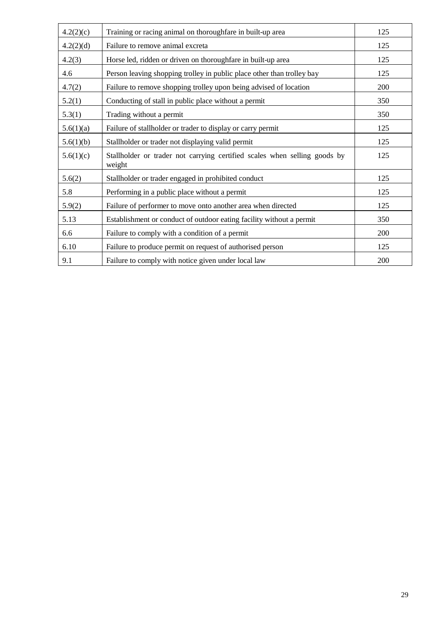| 4.2(2)(c) | Training or racing animal on thoroughfare in built-up area                          | 125 |
|-----------|-------------------------------------------------------------------------------------|-----|
| 4.2(2)(d) | Failure to remove animal excreta                                                    | 125 |
| 4.2(3)    | Horse led, ridden or driven on thoroughfare in built-up area                        | 125 |
| 4.6       | Person leaving shopping trolley in public place other than trolley bay              | 125 |
| 4.7(2)    | Failure to remove shopping trolley upon being advised of location                   | 200 |
| 5.2(1)    | Conducting of stall in public place without a permit                                | 350 |
| 5.3(1)    | Trading without a permit                                                            | 350 |
| 5.6(1)(a) | Failure of stallholder or trader to display or carry permit                         | 125 |
| 5.6(1)(b) | Stallholder or trader not displaying valid permit                                   | 125 |
| 5.6(1)(c) | Stallholder or trader not carrying certified scales when selling goods by<br>weight | 125 |
| 5.6(2)    | Stallholder or trader engaged in prohibited conduct                                 | 125 |
| 5.8       | Performing in a public place without a permit                                       | 125 |
| 5.9(2)    | Failure of performer to move onto another area when directed                        | 125 |
| 5.13      | Establishment or conduct of outdoor eating facility without a permit                | 350 |
| 6.6       | Failure to comply with a condition of a permit                                      | 200 |
| 6.10      | Failure to produce permit on request of authorised person                           | 125 |
| 9.1       | Failure to comply with notice given under local law                                 | 200 |